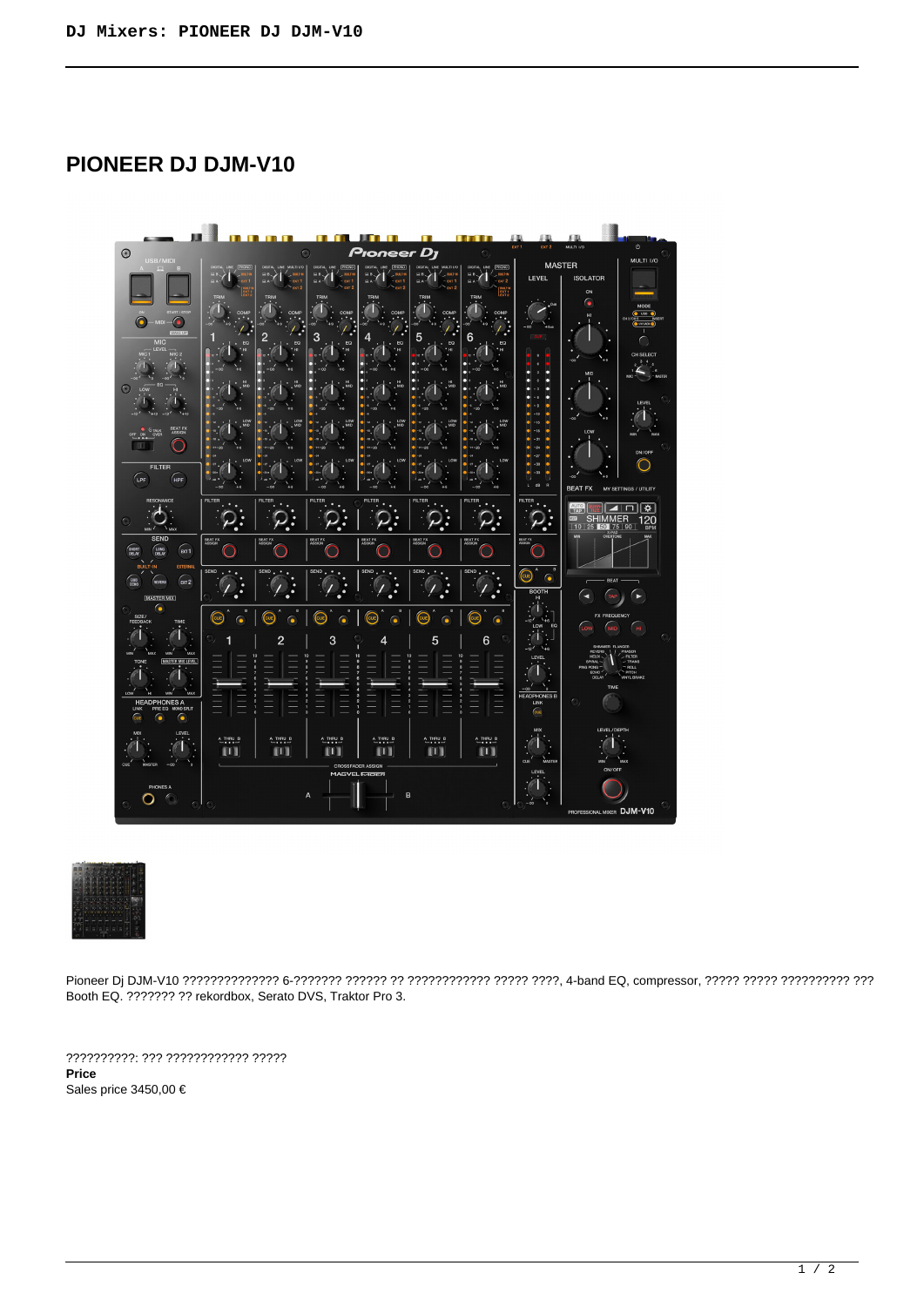## **PIONEER DJ DJM-V10**





Pioneer Dj DJM-V10 ?????????????? 6-??????? ?????? ?? ???????????? ????? ????, 4-band EQ, compressor, ????? ????? ?????????? ??? Booth EQ. ??????? ?? rekordbox, Serato DVS, Traktor Pro 3.

??????????: ??? ???????????? ????? **Price**  Sales price 3450,00 €